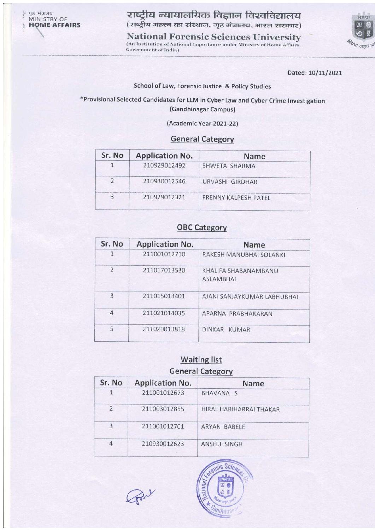राष्ट्रीय न्यायालयिक विज्ञान विश्वविद्यालय (राष्ट्रीय महत्त्व का संस्थान, गृह मंत्रालय, भारत सरकार)

**National Forensic Sciences University** (An Institution of National Importance under Ministry of Home Affairs, **Government of India)** 



Dated: 10/11/2021

## School of Law, Forensic Justice & Policy Studies

\*Provisional Selected Candidates for LLM in Cyber Law and Cyber Crime Investigation (Gandhinagar Campus)

(Academic Year 2021-22)

## **General Category**

| Sr. No | <b>Application No.</b> | <b>Name</b>          |
|--------|------------------------|----------------------|
|        | 210929012492           | SHWETA SHARMA        |
|        | 210930012546           | URVASHI GIRDHAR      |
|        | 210929012321           | FRENNY KALPESH PATEL |

## **OBC Category**

| <b>Application No.</b> | <b>Name</b>                              |
|------------------------|------------------------------------------|
| 211001012710           | RAKESH MANUBHAI SOLANKI                  |
| 211017013530           | KHALIFA SHABANAMBANU<br><b>ASLAMBHAI</b> |
| 211015013401           | AJANI SANJAYKUMAR LABHUBHAI              |
| 211021014035           | APARNA PRABHAKARAN                       |
| 211020013818           | <b>DINKAR</b><br><b>KUMAR</b>            |
|                        |                                          |

## **Waiting list General Category**

| Sr. No         | <b>Application No.</b> | Name                    |
|----------------|------------------------|-------------------------|
|                | 211001012673           | BHAVANA <sub>S</sub>    |
| $\overline{2}$ | 211003012855           | HIRAL HARIHARRAI THAKAR |
| 3              | 211001012701           | <b>ARYAN BABELE</b>     |
| 4              | 210930012623           | ANSHU SINGH             |